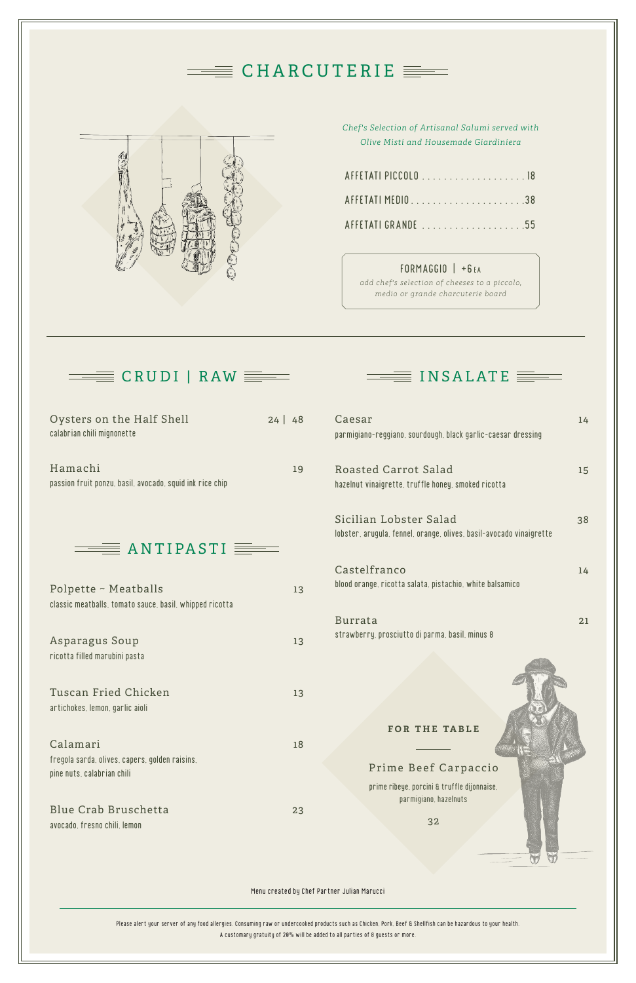Menu created by Chef Partner Julian Marucci

Please alert your server of any food allergies. Consuming raw or undercooked products such as Chicken, Pork, Beef & Shellfish can be hazardous to your health. A customary gratuity of 20% will be added to all parties of 8 guests or more.

fregola sarda, olives, capers, golden raisins, pine nuts, calabrian chili

Blue Crab Bruschetta 23 avocado, fresno chili, lemon

|                                                                                 |         | $\equiv$ CHARCUTERIE $\equiv$                                                                                                                                                                       |    |
|---------------------------------------------------------------------------------|---------|-----------------------------------------------------------------------------------------------------------------------------------------------------------------------------------------------------|----|
|                                                                                 |         | Chef's Selection of Artisanal Salumi served with<br>Olive Misti and Housemade Giardiniera<br>FORMAGGIO   +6EA<br>add chef's selection of cheeses to a piccolo,<br>medio or grande charcuterie board |    |
| Oysters on the Half Shell<br>calabrian chili mignonette                         | 24   48 | $=\equiv$ INSALATE $\equiv$<br>Caesar<br>parmigiano-reggiano, sourdough, black garlic-caesar dressing                                                                                               | 14 |
| Hamachi<br>passion fruit ponzu, basil, avocado, squid ink rice chip             | 19      | Roasted Carrot Salad<br>hazelnut vinaigrette, truffle honey, smoked ricotta                                                                                                                         | 15 |
| $\equiv$ ANTIPASTI                                                              |         | Sicilian Lobster Salad<br>lobster, arugula, fennel, orange, olives, basil-avocado vinaigrette                                                                                                       | 38 |
| Polpette ~ Meatballs<br>classic meatballs, tomato sauce, basil, whipped ricotta | 13      | Castelfranco<br>blood orange, ricotta salata, pistachio, white balsamico                                                                                                                            | 14 |
| Asparagus Soup<br>ricotta filled marubini pasta                                 | 13      | <b>Burrata</b><br>strawberry, prosciutto di parma, basil, minus 8                                                                                                                                   | 21 |
| Tuscan Fried Chicken<br>artichokes, lemon, garlic aioli                         | 13      |                                                                                                                                                                                                     |    |

#### Calamari 18

### Prime Beef Carpaccio

prime ribeye, porcini & truffle dijonnaise, parmigiano, hazelnuts

32

#### **for the table**